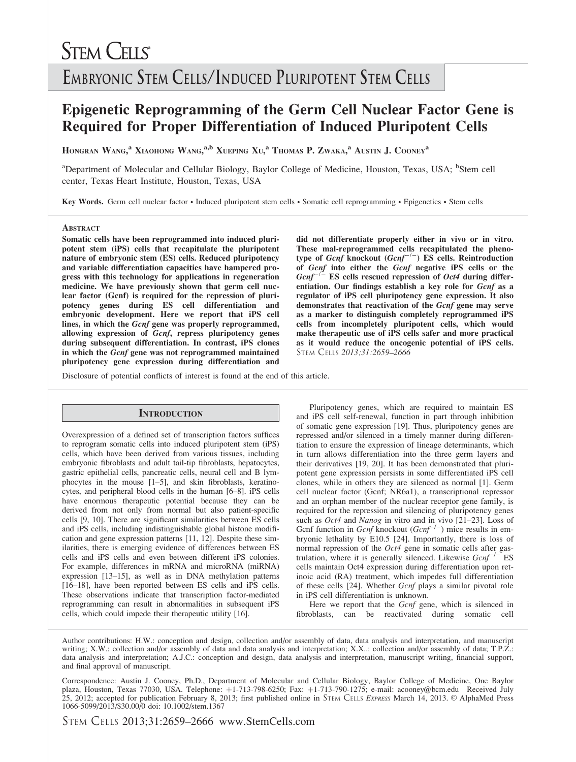# **STEM CELLS** EMBRYONIC STEM CELLS/INDUCED PLURIPOTENT STEM CELLS

# Epigenetic Reprogramming of the Germ Cell Nuclear Factor Gene is Required for Proper Differentiation of Induced Pluripotent Cells

HONGRAN WANG,<sup>a</sup> Xiaohong Wang,<sup>a,b</sup> Xueping Xu,<sup>a</sup> Thomas P. Zwaka,<sup>a</sup> Austin J. Cooney<sup>a</sup>

<sup>a</sup>Department of Molecular and Cellular Biology, Baylor College of Medicine, Houston, Texas, USA; <sup>b</sup>Stem cell center, Texas Heart Institute, Houston, Texas, USA

Key Words. Germ cell nuclear factor • Induced pluripotent stem cells • Somatic cell reprogramming • Epigenetics • Stem cells

#### **ABSTRACT**

Somatic cells have been reprogrammed into induced pluripotent stem (iPS) cells that recapitulate the pluripotent nature of embryonic stem (ES) cells. Reduced pluripotency and variable differentiation capacities have hampered progress with this technology for applications in regeneration medicine. We have previously shown that germ cell nuclear factor (Gcnf) is required for the repression of pluripotency genes during ES cell differentiation and embryonic development. Here we report that iPS cell lines, in which the Gcnf gene was properly reprogrammed, allowing expression of Gcnf, repress pluripotency genes during subsequent differentiation. In contrast, iPS clones in which the Gcnf gene was not reprogrammed maintained pluripotency gene expression during differentiation and

did not differentiate properly either in vivo or in vitro. These mal-reprogrammed cells recapitulated the phenotype of Gcnf knockout  $(Gcnf^{-/-})$  ES cells. Reintroduction of Gcnf into either the Gcnf negative iPS cells or the  $Gcnf^{-/-}$  ES cells rescued repression of *Oct4* during differentiation. Our findings establish a key role for Gcnf as a regulator of iPS cell pluripotency gene expression. It also demonstrates that reactivation of the Gcnf gene may serve as a marker to distinguish completely reprogrammed iPS cells from incompletely pluripotent cells, which would make therapeutic use of iPS cells safer and more practical as it would reduce the oncogenic potential of iPS cells. STEM CELLS 2013;31:2659–2666

Disclosure of potential conflicts of interest is found at the end of this article.

#### **INTRODUCTION**

Overexpression of a defined set of transcription factors suffices to reprogram somatic cells into induced pluripotent stem (iPS) cells, which have been derived from various tissues, including embryonic fibroblasts and adult tail-tip fibroblasts, hepatocytes, gastric epithelial cells, pancreatic cells, neural cell and B lymphocytes in the mouse [1–5], and skin fibroblasts, keratinocytes, and peripheral blood cells in the human [6–8]. iPS cells have enormous therapeutic potential because they can be derived from not only from normal but also patient-specific cells [9, 10]. There are significant similarities between ES cells and iPS cells, including indistinguishable global histone modification and gene expression patterns [11, 12]. Despite these similarities, there is emerging evidence of differences between ES cells and iPS cells and even between different iPS colonies. For example, differences in mRNA and microRNA (miRNA) expression [13–15], as well as in DNA methylation patterns [16–18], have been reported between ES cells and iPS cells. These observations indicate that transcription factor-mediated reprogramming can result in abnormalities in subsequent iPS cells, which could impede their therapeutic utility [16].

Pluripotency genes, which are required to maintain ES and iPS cell self-renewal, function in part through inhibition of somatic gene expression [19]. Thus, pluripotency genes are repressed and/or silenced in a timely manner during differentiation to ensure the expression of lineage determinants, which in turn allows differentiation into the three germ layers and their derivatives [19, 20]. It has been demonstrated that pluripotent gene expression persists in some differentiated iPS cell clones, while in others they are silenced as normal [1]. Germ cell nuclear factor (Gcnf; NR6a1), a transcriptional repressor and an orphan member of the nuclear receptor gene family, is required for the repression and silencing of pluripotency genes such as *Oct4* and *Nanog* in vitro and in vivo [21–23]. Loss of Gcnf function in Gcnf knockout  $(Gcnf^{-/-})$  mice results in embryonic lethality by E10.5 [24]. Importantly, there is loss of normal repression of the Oct4 gene in somatic cells after gastrulation, where it is generally silenced. Likewise  $Gcnf^{-/-}$  ES cells maintain Oct4 expression during differentiation upon retinoic acid (RA) treatment, which impedes full differentiation of these cells [24]. Whether *Gcnf* plays a similar pivotal role in iPS cell differentiation is unknown.

Here we report that the Gcnf gene, which is silenced in fibroblasts, can be reactivated during somatic cell

Author contributions: H.W.: conception and design, collection and/or assembly of data, data analysis and interpretation, and manuscript writing; X.W.: collection and/or assembly of data and data analysis and interpretation; X.X..: collection and/or assembly of data; T.P.Z.: data analysis and interpretation; A.J.C.: conception and design, data analysis and interpretation, manuscript writing, financial support, and final approval of manuscript.

Correspondence: Austin J. Cooney, Ph.D., Department of Molecular and Cellular Biology, Baylor College of Medicine, One Baylor plaza, Houston, Texas 77030, USA. Telephone: +1-713-798-6250; Fax: +1-713-790-1275; e-mail: acooney@bcm.edu Received July 25, 2012; accepted for publication February 8, 2013; first published online in STEM CELLS Express March 14, 2013. © AlphaMed Press 1066-5099/2013/\$30.00/0 doi: 10.1002/stem.1367

STEM CELLS 2013;31:2659–2666 www.StemCells.com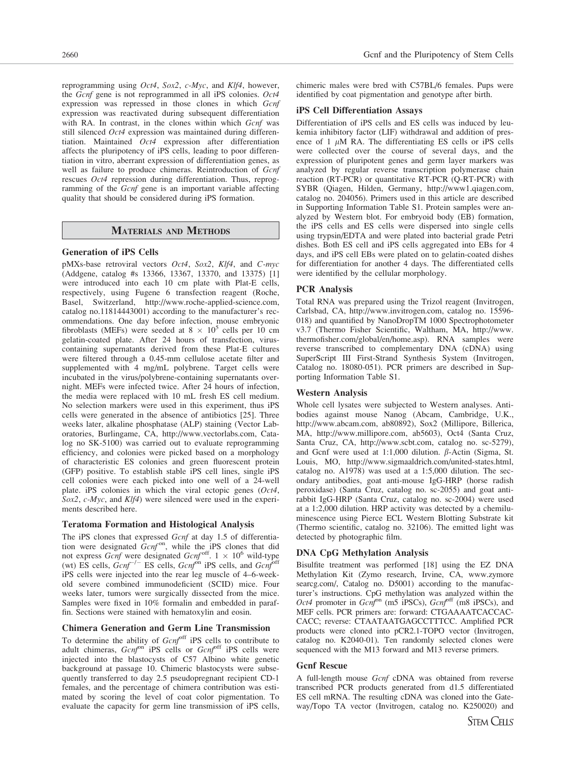reprogramming using Oct4, Sox2, c-Myc, and Klf4, however, the Gcnf gene is not reprogrammed in all iPS colonies. Oct4 expression was repressed in those clones in which Gcnf expression was reactivated during subsequent differentiation with RA. In contrast, in the clones within which Gcnf was still silenced Oct4 expression was maintained during differentiation. Maintained Oct4 expression after differentiation affects the pluripotency of iPS cells, leading to poor differentiation in vitro, aberrant expression of differentiation genes, as well as failure to produce chimeras. Reintroduction of Gcnf rescues Oct4 repression during differentiation. Thus, reprogramming of the Gcnf gene is an important variable affecting quality that should be considered during iPS formation.

#### MATERIALS AND METHODS

#### Generation of iPS Cells

pMXs-base retroviral vectors Oct4, Sox2, Klf4, and C-myc (Addgene, catalog #s 13366, 13367, 13370, and 13375) [1] were introduced into each 10 cm plate with Plat-E cells, respectively, using Fugene 6 transfection reagent (Roche, Basel, Switzerland, http://www.roche-applied-science.com, catalog no.11814443001) according to the manufacturer's recommendations. One day before infection, mouse embryonic fibroblasts (MEFs) were seeded at  $8 \times 10^5$  cells per 10 cm gelatin-coated plate. After 24 hours of transfection, viruscontaining supernatants derived from these Plat-E cultures were filtered through a 0.45-mm cellulose acetate filter and supplemented with 4 mg/mL polybrene. Target cells were incubated in the virus/polybrene-containing supernatants overnight. MEFs were infected twice. After 24 hours of infection, the media were replaced with 10 mL fresh ES cell medium. No selection markers were used in this experiment, thus iPS cells were generated in the absence of antibiotics [25]. Three weeks later, alkaline phosphatase (ALP) staining (Vector Laboratories, Burlingame, CA, http://www.vectorlabs.com, Catalog no SK-5100) was carried out to evaluate reprogramming efficiency, and colonies were picked based on a morphology of characteristic ES colonies and green fluorescent protein (GFP) positive. To establish stable iPS cell lines, single iPS cell colonies were each picked into one well of a 24-well plate. iPS colonies in which the viral ectopic genes (Oct4, Sox2, c-Myc, and Klf4) were silenced were used in the experiments described here.

#### Teratoma Formation and Histological Analysis

The iPS clones that expressed Gcnf at day 1.5 of differentiation were designated  $Gcnf<sup>on</sup>$ , while the iPS clones that did not express Gcnf were designated Gcnf<sup>off</sup>.  $1 \times 10^6$  wild-type (wt) ES cells,  $Gcnf^{-/-}$  ES cells,  $Gcnf^{on}$  iPS cells, and  $Gcnf^{on}$ iPS cells were injected into the rear leg muscle of 4–6-weekold severe combined immunodeficient (SCID) mice. Four weeks later, tumors were surgically dissected from the mice. Samples were fixed in 10% formalin and embedded in paraffin. Sections were stained with hematoxylin and eosin.

#### Chimera Generation and Germ Line Transmission

To determine the ability of Gcnf<sup>off</sup> iPS cells to contribute to adult chimeras,  $Gcnf^{on}$  iPS cells or  $Gcnf^{off}$  iPS cells were injected into the blastocysts of C57 Albino white genetic background at passage 10. Chimeric blastocysts were subsequently transferred to day 2.5 pseudopregnant recipient CD-1 females, and the percentage of chimera contribution was estimated by scoring the level of coat color pigmentation. To evaluate the capacity for germ line transmission of iPS cells,

chimeric males were bred with C57BL/6 females. Pups were identified by coat pigmentation and genotype after birth.

#### iPS Cell Differentiation Assays

Differentiation of iPS cells and ES cells was induced by leukemia inhibitory factor (LIF) withdrawal and addition of presence of 1  $\mu$ M RA. The differentiating ES cells or iPS cells were collected over the course of several days, and the expression of pluripotent genes and germ layer markers was analyzed by regular reverse transcription polymerase chain reaction (RT-PCR) or quantitative RT-PCR (Q-RT-PCR) with SYBR (Qiagen, Hilden, Germany, http://www1.qiagen.com, catalog no. 204056). Primers used in this article are described in Supporting Information Table S1. Protein samples were analyzed by Western blot. For embryoid body (EB) formation, the iPS cells and ES cells were dispersed into single cells using trypsin/EDTA and were plated into bacterial grade Petri dishes. Both ES cell and iPS cells aggregated into EBs for 4 days, and iPS cell EBs were plated on to gelatin-coated dishes for differentiation for another 4 days. The differentiated cells were identified by the cellular morphology.

#### PCR Analysis

Total RNA was prepared using the Trizol reagent (Invitrogen, Carlsbad, CA, http://www.invitrogen.com, catalog no. 15596- 018) and quantified by NanoDropTM 1000 Spectrophotometer v3.7 (Thermo Fisher Scientific, Waltham, MA, http://www. thermofisher.com/global/en/home.asp). RNA samples were reverse transcribed to complementary DNA (cDNA) using SuperScript III First-Strand Synthesis System (Invitrogen, Catalog no. 18080-051). PCR primers are described in Supporting Information Table S1.

#### Western Analysis

Whole cell lysates were subjected to Western analyses. Antibodies against mouse Nanog (Abcam, Cambridge, U.K., http://www.abcam.com, ab80892), Sox2 (Millipore, Billerica, MA, http://www.millipore.com, ab5603), Oct4 (Santa Cruz, Santa Cruz, CA, http://www.scbt.com, catalog no. sc-5279), and Gcnf were used at 1:1,000 dilution.  $\beta$ -Actin (Sigma, St. Louis, MO, http://www.sigmaaldrich.com/united-states.html, catalog no. A1978) was used at a 1:5,000 dilution. The secondary antibodies, goat anti-mouse IgG-HRP (horse radish peroxidase) (Santa Cruz, catalog no. sc-2055) and goat antirabbit IgG-HRP (Santa Cruz, catalog no. sc-2004) were used at a 1:2,000 dilution. HRP activity was detected by a chemiluminescence using Pierce ECL Western Blotting Substrate kit (Thermo scientific, catalog no. 32106). The emitted light was detected by photographic film.

#### DNA CpG Methylation Analysis

Bisulfite treatment was performed [18] using the EZ DNA Methylation Kit (Zymo research, Irvine, CA, www.zymore searcg.com/, Catalog no. D5001) according to the manufacturer's instructions. CpG methylation was analyzed within the Oct4 promoter in  $Gcnf^{on}$  (m5 iPSCs),  $Gcnf^{off}$  (m8 iPSCs), and MEF cells. PCR primers are: forward: CTGAAAATCACCAC-CACC; reverse: CTAATAATGAGCCTTTCC. Amplified PCR products were cloned into pCR2.1-TOPO vector (Invitrogen, catalog no. K2040-01). Ten randomly selected clones were sequenced with the M13 forward and M13 reverse primers.

#### Gcnf Rescue

A full-length mouse Gcnf cDNA was obtained from reverse transcribed PCR products generated from d1.5 differentiated ES cell mRNA. The resulting cDNA was cloned into the Gateway/Topo TA vector (Invitrogen, catalog no. K250020) and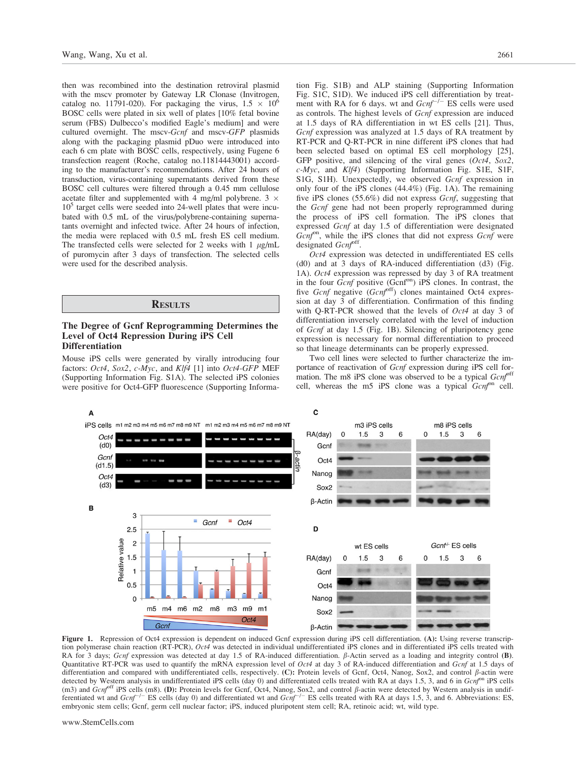then was recombined into the destination retroviral plasmid with the mscv promoter by Gateway LR Clonase (Invitrogen, catalog no. 11791-020). For packaging the virus,  $1.5 \times 10^6$ BOSC cells were plated in six well of plates [10% fetal bovine serum (FBS) Dulbecco's modified Eagle's medium] and were cultured overnight. The mscv-Gcnf and mscv-GFP plasmids along with the packaging plasmid pDuo were introduced into each 6 cm plate with BOSC cells, respectively, using Fugene 6 transfection reagent (Roche, catalog no.11814443001) according to the manufacturer's recommendations. After 24 hours of transduction, virus-containing supernatants derived from these BOSC cell cultures were filtered through a 0.45 mm cellulose acetate filter and supplemented with 4 mg/ml polybrene. 3  $\times$  $10<sup>5</sup>$  target cells were seeded into 24-well plates that were incubated with 0.5 mL of the virus/polybrene-containing supernatants overnight and infected twice. After 24 hours of infection, the media were replaced with 0.5 mL fresh ES cell medium. The transfected cells were selected for 2 weeks with  $1 \mu g/mL$ of puromycin after 3 days of transfection. The selected cells were used for the described analysis.

#### **RESULTS**

#### The Degree of Gcnf Reprogramming Determines the Level of Oct4 Repression During iPS Cell **Differentiation**

Mouse iPS cells were generated by virally introducing four factors: Oct4, Sox2, c-Myc, and Klf4 [1] into Oct4-GFP MEF (Supporting Information Fig. S1A). The selected iPS colonies were positive for Oct4-GFP fluorescence (Supporting Information Fig. S1B) and ALP staining (Supporting Information Fig. S1C, S1D). We induced iPS cell differentiation by treatment with RA for 6 days. wt and  $Gcnf^{-/-}$  ES cells were used as controls. The highest levels of Gcnf expression are induced at 1.5 days of RA differentiation in wt ES cells [21]. Thus, Gcnf expression was analyzed at 1.5 days of RA treatment by RT-PCR and Q-RT-PCR in nine different iPS clones that had been selected based on optimal ES cell morphology [25], GFP positive, and silencing of the viral genes (Oct4, Sox2,  $c$ -*Myc*, and  $Klf4$ ) (Supporting Information Fig. S1E, S1F, S1G, S1H). Unexpectedly, we observed Gcnf expression in only four of the iPS clones (44.4%) (Fig. 1A). The remaining five iPS clones (55.6%) did not express Gcnf, suggesting that the Gcnf gene had not been properly reprogrammed during the process of iPS cell formation. The iPS clones that expressed Gcnf at day 1.5 of differentiation were designated  $Gcnf<sup>on</sup>$ , while the iPS clones that did not express  $Gcnf$  were designated Gcnf<sup>off</sup>.

Oct4 expression was detected in undifferentiated ES cells (d0) and at 3 days of RA-induced differentiation (d3) (Fig. 1A). Oct4 expression was repressed by day 3 of RA treatment in the four  $Gcnf$  positive ( $Gcnf<sup>on</sup>$ ) iPS clones. In contrast, the five Gcnf negative  $(Gcnf^{off})$  clones maintained Oct4 expression at day 3 of differentiation. Confirmation of this finding with Q-RT-PCR showed that the levels of  $Oct4$  at day 3 of differentiation inversely correlated with the level of induction of Gcnf at day 1.5 (Fig. 1B). Silencing of pluripotency gene expression is necessary for normal differentiation to proceed so that lineage determinants can be properly expressed.

Two cell lines were selected to further characterize the importance of reactivation of Gcnf expression during iPS cell formation. The m8 iPS clone was observed to be a typical  $Gcnf<sup>off</sup>$ cell, whereas the m5 iPS clone was a typical  $Gcnf^{on}$  cell.



Figure 1. Repression of Oct4 expression is dependent on induced Gcnf expression during iPS cell differentiation. (A): Using reverse transcription polymerase chain reaction (RT-PCR), Oct4 was detected in individual undifferentiated iPS clones and in differentiated iPS cells treated with RA for 3 days; Gcnf expression was detected at day 1.5 of RA-induced differentiation.  $\beta$ -Actin served as a loading and integrity control (B). Quantitative RT-PCR was used to quantify the mRNA expression level of Oct4 at day 3 of RA-induced differentiation and Gcnf at 1.5 days of differentiation and compared with undifferentiated cells, respectively. (C): Protein levels of Gcnf, Oct4, Nanog, Sox2, and control  $\beta$ -actin were detected by Western analysis in undifferentiated iPS cells (day 0) and differentiated cells treated with RA at days 1.5, 3, and 6 in Gcnf<sup>on</sup> iPS cells (m3) and  $Gen<sup>off</sup>$  iPS cells (m8). (D): Protein levels for Gcnf, Oct4, Nanog, Sox2, and control  $\beta$ -actin were detected by Western analysis in undifferentiated wt and  $Gcnf^{-/-}$  ES cells (day 0) and differentiated wt and  $Gcnf^{-/-}$  ES cells treated with RA at days 1.5, 3, and 6. Abbreviations: ES, embryonic stem cells; Gcnf, germ cell nuclear factor; iPS, induced pluripotent stem cell; RA, retinoic acid; wt, wild type.

www.StemCells.com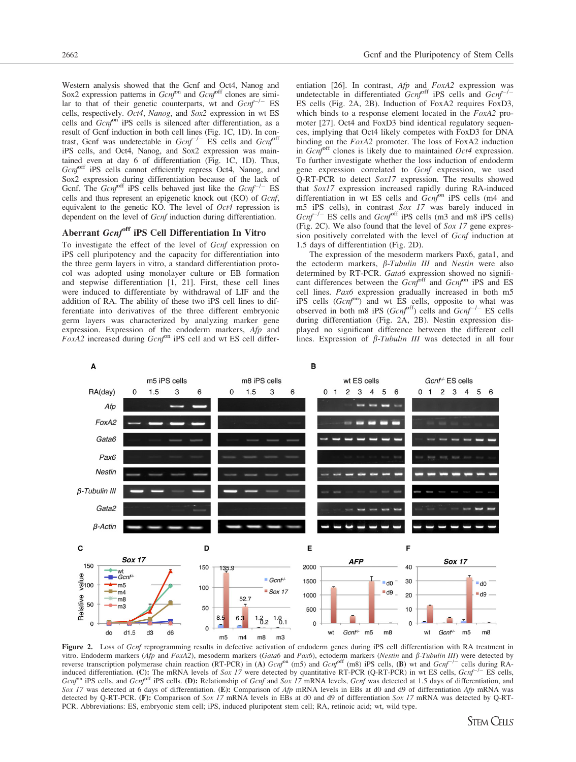Western analysis showed that the Gcnf and Oct4, Nanog and Sox2 expression patterns in  $Gcnf^{on}$  and  $Gcnf^{off}$  clones are similar to that of their genetic counterparts, wt and  $Gcnf^{-/-}$  ES cells, respectively. Oct4, Nanog, and Sox2 expression in wt ES cells and Gcnfon iPS cells is silenced after differentiation, as a result of Gcnf induction in both cell lines (Fig. 1C, 1D). In contrast, Gcnf was undetectable in  $Gcnf^{-/-}$  ES cells and  $Gcnf^0$ iPS cells, and Oct4, Nanog, and Sox2 expression was maintained even at day 6 of differentiation (Fig. 1C, 1D). Thus, Gcnf<sup>off</sup> iPS cells cannot efficiently repress Oct4, Nanog, and Sox2 expression during differentiation because of the lack of Gcnf. The  $Gcnf<sup>off</sup>$  iPS cells behaved just like the  $Gcnf^{-/-}$  ES cells and thus represent an epigenetic knock out (KO) of Gcnf, equivalent to the genetic KO. The level of Oct4 repression is dependent on the level of Gcnf induction during differentiation.

# Aberrant Gcnf<sup>off</sup> iPS Cell Differentiation In Vitro

To investigate the effect of the level of Gcnf expression on iPS cell pluripotency and the capacity for differentiation into the three germ layers in vitro, a standard differentiation protocol was adopted using monolayer culture or EB formation and stepwise differentiation [1, 21]. First, these cell lines were induced to differentiate by withdrawal of LIF and the addition of RA. The ability of these two iPS cell lines to differentiate into derivatives of the three different embryonic germ layers was characterized by analyzing marker gene expression. Expression of the endoderm markers, Afp and  $FoxA2$  increased during  $Gcnf^{on}$  iPS cell and wt ES cell differ-

entiation [26]. In contrast, *Afp* and *FoxA2* expression was undetectable in differentiated *Gcnf*<sup>off</sup> iPS cells and *Gcnf*<sup>-/-</sup> ES cells (Fig. 2A, 2B). Induction of FoxA2 requires FoxD3, which binds to a response element located in the  $FoxA2$  promoter [27]. Oct4 and FoxD3 bind identical regulatory sequences, implying that Oct4 likely competes with FoxD3 for DNA binding on the FoxA2 promoter. The loss of FoxA2 induction in  $Gcnf<sup>off</sup>$  clones is likely due to maintained  $Oct4$  expression. To further investigate whether the loss induction of endoderm gene expression correlated to Gcnf expression, we used Q-RT-PCR to detect Sox17 expression. The results showed that  $Sox17$  expression increased rapidly during RA-induced differentiation in wt ES cells and  $Gcnf^{on}$  iPS cells (m4 and m5 iPS cells), in contrast Sox 17 was barely induced in  $Gcnf^{-/-}$  ES cells and  $Gcnf^{off}$  iPS cells (m3 and m8 iPS cells) (Fig. 2C). We also found that the level of  $Sox 17$  gene expression positively correlated with the level of Gcnf induction at 1.5 days of differentiation (Fig. 2D).

The expression of the mesoderm markers Pax6, gata1, and the ectoderm markers,  $\beta$ -Tubulin III and Nestin were also determined by RT-PCR. Gatab expression showed no significant differences between the  $Gcnf^{off}$  and  $Gcnf^{on}$  iPS and ES cell lines. Pax6 expression gradually increased in both m5 iPS cells  $(Gcnf^{on})$  and wt ES cells, opposite to what was observed in both m8 iPS ( $Gcnf^{off}$ ) cells and  $Gcnf^{-/-}$  ES cells during differentiation (Fig. 2A, 2B). Nestin expression displayed no significant difference between the different cell lines. Expression of  $\beta$ -Tubulin III was detected in all four



Figure 2. Loss of Gcnf reprogramming results in defective activation of endoderm genes during iPS cell differentiation with RA treatment in vitro. Endoderm markers (Afp and FoxA2), mesoderm markers (Gata6 and Pax6), ectoderm markers (Nestin and  $\beta$ -Tubulin III) were detected by reverse transcription polymerase chain reaction (RT-PCR) in (A)  $Gcnf^{on}$  (m5) and  $Gcnf^{off}$  (m8) iPS cells, (B) wt and  $Gcnf^{-1}$  cells during RAinduced differentiation. (C): The mRNA levels of Sox 17 were detected by quantitative RT-PCR (Q-RT-PCR) in wt ES cells,  $Gcnf^{-1}$  ES cells,  $Gcnf$ <sup>on</sup> iPS cells, and  $Gcnf$ <sup>off</sup> iPS cells. (D): Relationship of Gcnf and Sox 17 mRNA levels, Gcnf was detected at 1.5 days of differentiation, and Sox 17 was detected at 6 days of differentiation. (E): Comparison of Afp mRNA levels in EBs at d0 and d9 of differentiation Afp mRNA was detected by Q-RT-PCR. (F): Comparison of Sox 17 mRNA levels in EBs at d0 and d9 of differentiation Sox 17 mRNA was detected by Q-RT-PCR. Abbreviations: ES, embryonic stem cell; iPS, induced pluripotent stem cell; RA, retinoic acid; wt, wild type.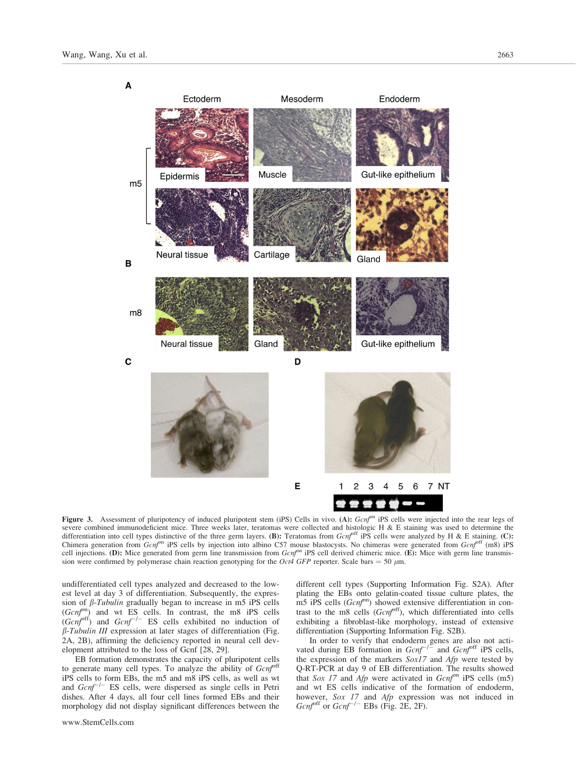

Figure 3. Assessment of pluripotency of induced pluripotent stem (iPS) Cells in vivo. (A): Gcnfon iPS cells were injected into the rear legs of severe combined immunodeficient mice. Three weeks later, teratomas were collected and histologic H & E staining was used to determine the differentiation into cell types distinctive of the three germ layers. (B): Teratomas from  $Gcnf^{off}$  iPS cells were analyzed by H & E staining. (C): Chimera generation from  $Gcnf^{on}$  iPS cells by injection into albino C57 mouse blastocysts. No chimeras were generated from  $Gcnf^{off}$  (m8) iPS cell injections. (D): Mice generated from germ line transmission from  $Gcnf^{on}$  iPS cell derived chimeric mice. (E): Mice with germ line transmission were confirmed by polymerase chain reaction genotyping for the *Oct4 GFP* reporter. Scale bars = 50  $\mu$ m.

undifferentiated cell types analyzed and decreased to the lowest level at day 3 of differentiation. Subsequently, the expression of  $\beta$ -Tubulin gradually began to increase in m5 iPS cells  $(Gcnf<sup>on</sup>)$  and wt ES cells. In contrast, the m8 iPS cells  $(Gcnf^{off})$  and  $Gcnf^{-/-}$  ES cells exhibited no induction of b-Tubulin III expression at later stages of differentiation (Fig. 2A, 2B), affirming the deficiency reported in neural cell development attributed to the loss of Gcnf [28, 29].

EB formation demonstrates the capacity of pluripotent cells to generate many cell types. To analyze the ability of  $Gcnf^{off}$ iPS cells to form EBs, the m5 and m8 iPS cells, as well as wt and  $Gcnf^{-/-}$  ES cells, were dispersed as single cells in Petri dishes. After 4 days, all four cell lines formed EBs and their morphology did not display significant differences between the different cell types (Supporting Information Fig. S2A). After plating the EBs onto gelatin-coated tissue culture plates, the m5 iPS cells  $(Gcnf<sup>on</sup>)$  showed extensive differentiation in contrast to the m8 cells  $(Gcnf<sup>off</sup>)$ , which differentiated into cells exhibiting a fibroblast-like morphology, instead of extensive differentiation (Supporting Information Fig. S2B).

In order to verify that endoderm genes are also not activated during EB formation in  $Gcnf^{-1}$  and  $Gcnf^{off}$  iPS cells, the expression of the markers  $SoxI7$  and  $Afp$  were tested by Q-RT-PCR at day 9 of EB differentiation. The results showed that Sox 17 and Afp were activated in  $Gcnf^{on}$  iPS cells (m5) and wt ES cells indicative of the formation of endoderm, however, *Sox 17* and *Afp* expression was not induced in  $Gcnf^{off}$  or  $Gcnf^{-/-}$  EBs (Fig. 2E, 2F).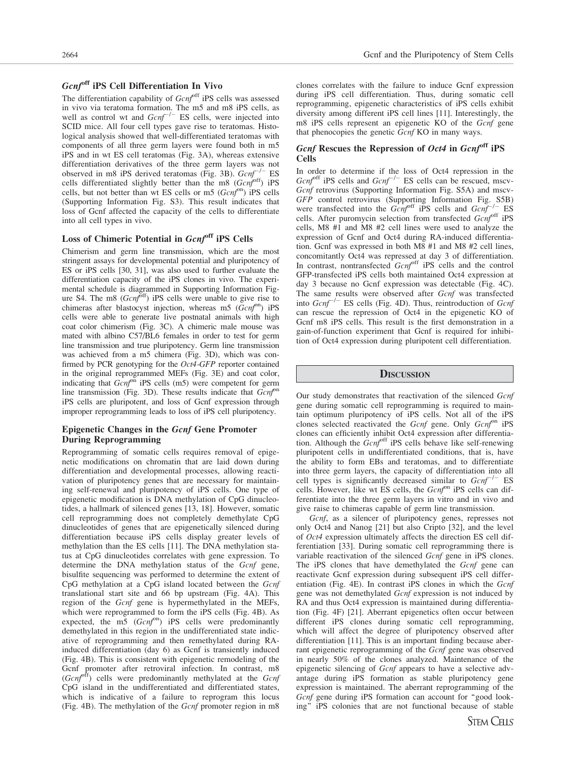# Gcnf<sup>off</sup> iPS Cell Differentiation In Vivo

The differentiation capability of  $Gcnf<sup>off</sup>$  iPS cells was assessed in vivo via teratoma formation. The m5 and m8 iPS cells, as well as control wt and  $Gcnf^{-/-}$  ES cells, were injected into SCID mice. All four cell types gave rise to teratomas. Histological analysis showed that well-differentiated teratomas with components of all three germ layers were found both in m5 iPS and in wt ES cell teratomas (Fig. 3A), whereas extensive differentiation derivatives of the three germ layers was not observed in m8 iPS derived teratomas (Fig. 3B).  $Gcnf^{-/-}$  ES cells differentiated slightly better than the m8  $(Gcnf<sup>off</sup>)$  iPS cells, but not better than wt ES cells or m5  $(Gcnf<sup>on</sup>)$  iPS cells (Supporting Information Fig. S3). This result indicates that loss of Gcnf affected the capacity of the cells to differentiate into all cell types in vivo.

# Loss of Chimeric Potential in Gcnfoff iPS Cells

Chimerism and germ line transmission, which are the most stringent assays for developmental potential and pluripotency of ES or iPS cells [30, 31], was also used to further evaluate the differentiation capacity of the iPS clones in vivo. The experimental schedule is diagrammed in Supporting Information Figure S4. The m8  $(Gcnf<sup>off</sup>)$  iPS cells were unable to give rise to chimeras after blastocyst injection, whereas  $m5$  ( $Gcnf<sup>on</sup>$ ) iPS cells were able to generate live postnatal animals with high coat color chimerism (Fig. 3C). A chimeric male mouse was mated with albino C57/BL6 females in order to test for germ line transmission and true pluripotency. Germ line transmission was achieved from a m5 chimera (Fig. 3D), which was confirmed by PCR genotyping for the Oct4-GFP reporter contained in the original reprogrammed MEFs (Fig. 3E) and coat color, indicating that  $Gcnf^{on}$  iPS cells (m5) were competent for germ line transmission (Fig. 3D). These results indicate that  $Gen<sup>on</sup>$ iPS cells are pluripotent, and loss of Gcnf expression through improper reprogramming leads to loss of iPS cell pluripotency.

#### Epigenetic Changes in the Gcnf Gene Promoter During Reprogramming

Reprogramming of somatic cells requires removal of epigenetic modifications on chromatin that are laid down during differentiation and developmental processes, allowing reactivation of pluripotency genes that are necessary for maintaining self-renewal and pluripotency of iPS cells. One type of epigenetic modification is DNA methylation of CpG dinucleotides, a hallmark of silenced genes [13, 18]. However, somatic cell reprogramming does not completely demethylate CpG dinucleotides of genes that are epigenetically silenced during differentiation because iPS cells display greater levels of methylation than the ES cells [11]. The DNA methylation status at CpG dinucleotides correlates with gene expression. To determine the DNA methylation status of the Gcnf gene, bisulfite sequencing was performed to determine the extent of CpG methylation at a CpG island located between the Gcnf translational start site and 66 bp upstream (Fig. 4A). This region of the Gcnf gene is hypermethylated in the MEFs, which were reprogrammed to form the iPS cells (Fig. 4B). As expected, the m5  $(Gcnf<sup>on</sup>)$  iPS cells were predominantly demethylated in this region in the undifferentiated state indicative of reprogramming and then remethylated during RAinduced differentiation (day 6) as Gcnf is transiently induced (Fig. 4B). This is consistent with epigenetic remodeling of the Gcnf promoter after retroviral infection. In contrast, m8  $(Gcnf<sup>off</sup>)$  cells were predominantly methylated at the  $Gcnf$ CpG island in the undifferentiated and differentiated states, which is indicative of a failure to reprogram this locus (Fig. 4B). The methylation of the Gcnf promoter region in m8

clones correlates with the failure to induce Gcnf expression during iPS cell differentiation. Thus, during somatic cell reprogramming, epigenetic characteristics of iPS cells exhibit diversity among different iPS cell lines [11]. Interestingly, the m8 iPS cells represent an epigenetic KO of the Gcnf gene that phenocopies the genetic  $\overline{Gcnf}$  KO in many ways.

# Gcnf Rescues the Repression of Oct4 in Gcnfoff iPS Cells

In order to determine if the loss of Oct4 repression in the  $Gcnf<sup>off</sup>$  iPS cells and  $Gcnf^{-/-}$  ES cells can be rescued, mscv-Gcnf retrovirus (Supporting Information Fig. S5A) and mscv-GFP control retrovirus (Supporting Information Fig. S5B) were transfected into the  $Gcnf^{off}$  iPS cells and  $Gcnf^{-/-}$  ES cells. After puromycin selection from transfected  $Gcnf<sup>off</sup>$  iPS cells, M8 #1 and M8 #2 cell lines were used to analyze the expression of Gcnf and Oct4 during RA-induced differentiation. Gcnf was expressed in both M8 #1 and M8 #2 cell lines, concomitantly Oct4 was repressed at day 3 of differentiation. In contrast, nontransfected Gcnfoff iPS cells and the control GFP-transfected iPS cells both maintained Oct4 expression at day 3 because no Gcnf expression was detectable (Fig. 4C). The same results were observed after Gcnf was transfected into  $Gcnf^{-/-}$  ES cells (Fig. 4D). Thus, reintroduction of  $Gcnf$ can rescue the repression of Oct4 in the epigenetic KO of Gcnf m8 iPS cells. This result is the first demonstration in a gain-of-function experiment that Gcnf is required for inhibition of Oct4 expression during pluripotent cell differentiation.

#### **DISCUSSION**

Our study demonstrates that reactivation of the silenced Gcnf gene during somatic cell reprogramming is required to maintain optimum pluripotency of iPS cells. Not all of the iPS clones selected reactivated the  $Gcnf$  gene. Only  $Gcnf^{on}$  iPS clones can efficiently inhibit Oct4 expression after differentiation. Although the  $Gcnf^{off}$  iPS cells behave like self-renewing pluripotent cells in undifferentiated conditions, that is, have the ability to form EBs and teratomas, and to differentiate into three germ layers, the capacity of differentiation into all cell types is significantly decreased similar to  $Gcnf^{-/-}$  ES cells. However, like wt ES cells, the  $Gcnf^{on}$  iPS cells can differentiate into the three germ layers in vitro and in vivo and give raise to chimeras capable of germ line transmission.

Gcnf, as a silencer of pluripotency genes, represses not only Oct4 and Nanog [21] but also Cripto [32], and the level of Oct4 expression ultimately affects the direction ES cell differentiation [33]. During somatic cell reprogramming there is variable reactivation of the silenced Gcnf gene in iPS clones. The iPS clones that have demethylated the Gcnf gene can reactivate Gcnf expression during subsequent iPS cell differentiation (Fig. 4E). In contrast iPS clones in which the Gcnf gene was not demethylated Gcnf expression is not induced by RA and thus Oct4 expression is maintained during differentiation (Fig. 4F) [21]. Aberrant epigenetics often occur between different iPS clones during somatic cell reprogramming, which will affect the degree of pluripotency observed after differentiation [11]. This is an important finding because aberrant epigenetic reprogramming of the Gcnf gene was observed in nearly 50% of the clones analyzed. Maintenance of the epigenetic silencing of Gcnf appears to have a selective advantage during iPS formation as stable pluripotency gene expression is maintained. The aberrant reprogramming of the Gcnf gene during iPS formation can account for "good looking'' iPS colonies that are not functional because of stable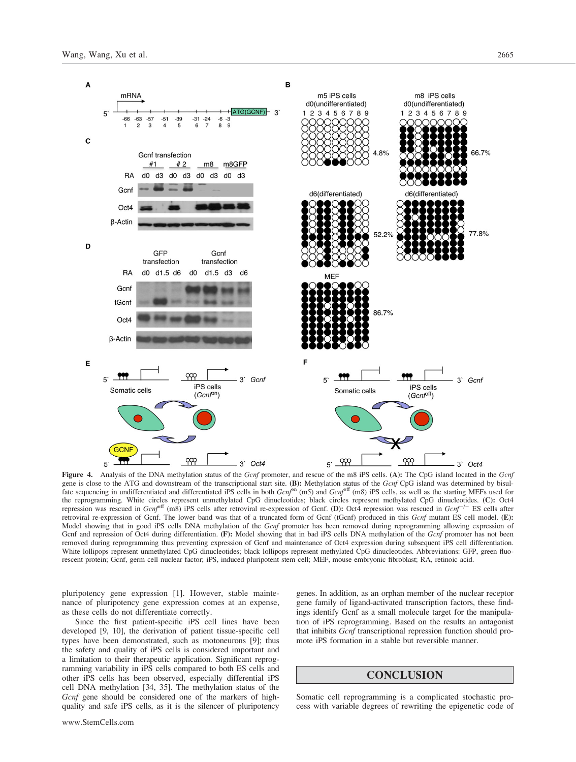

Figure 4. Analysis of the DNA methylation status of the Gcnf promoter, and rescue of the m8 iPS cells. (A): The CpG island located in the Gcnf gene is close to the ATG and downstream of the transcriptional start site. (B): Methylation status of the  $Gcnf$  CpG island was determined by bisul-<br>fate sequencing in undifferentiated and differentiated iPS cells in both the reprogramming. White circles represent unmethylated CpG dinucleotides; black circles represent methylated CpG dinucleotides. (C): Oct4 repression was rescued in  $Gcnf^{off}$  (m8) iPS cells after retroviral re-expression of Gcnf. (D): Oct4 repression was rescued in  $Gcnf^{-/-}$  ES cells after retroviral re-expression of Gcnf. The lower band was that of a truncated form of Gcnf (tGcnf) produced in this Gcnf mutant ES cell model. (E): Model showing that in good iPS cells DNA methylation of the Gcnf promoter has been removed during reprogramming allowing expression of Gcnf and repression of Oct4 during differentiation. (F): Model showing that in bad iPS cells DNA methylation of the Gcnf promoter has not been removed during reprogramming thus preventing expression of Gcnf and maintenance of Oct4 expression during subsequent iPS cell differentiation. White lollipops represent unmethylated CpG dinucleotides; black lollipops represent methylated CpG dinucleotides. Abbreviations: GFP, green fluorescent protein; Gcnf, germ cell nuclear factor; iPS, induced pluripotent stem cell; MEF, mouse embryonic fibroblast; RA, retinoic acid.

pluripotency gene expression [1]. However, stable maintenance of pluripotency gene expression comes at an expense, as these cells do not differentiate correctly.

Since the first patient-specific iPS cell lines have been developed [9, 10], the derivation of patient tissue-specific cell types have been demonstrated, such as motoneurons [9]; thus the safety and quality of iPS cells is considered important and a limitation to their therapeutic application. Significant reprogramming variability in iPS cells compared to both ES cells and other iPS cells has been observed, especially differential iPS cell DNA methylation [34, 35]. The methylation status of the Gcnf gene should be considered one of the markers of highquality and safe iPS cells, as it is the silencer of pluripotency genes. In addition, as an orphan member of the nuclear receptor gene family of ligand-activated transcription factors, these findings identify Gcnf as a small molecule target for the manipulation of iPS reprogramming. Based on the results an antagonist that inhibits Gcnf transcriptional repression function should promote iPS formation in a stable but reversible manner.

### **CONCLUSION**

Somatic cell reprogramming is a complicated stochastic process with variable degrees of rewriting the epigenetic code of